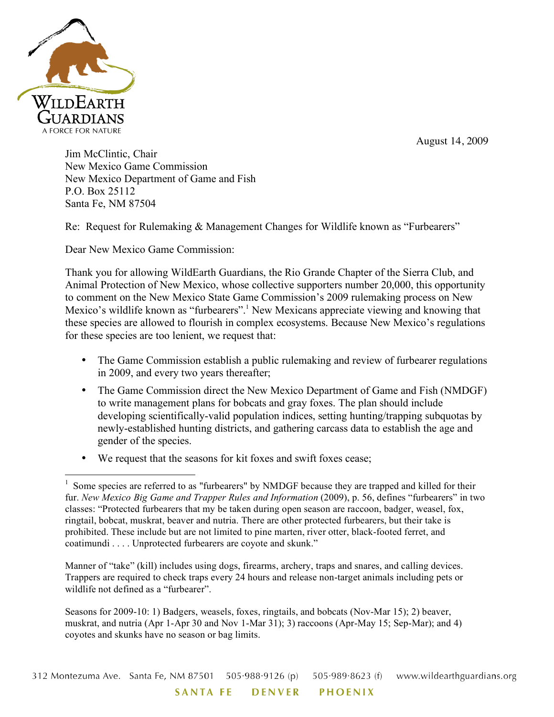August 14, 2009



Jim McClintic, Chair New Mexico Game Commission New Mexico Department of Game and Fish P.O. Box 25112 Santa Fe, NM 87504

Re: Request for Rulemaking & Management Changes for Wildlife known as "Furbearers"

Dear New Mexico Game Commission:

Thank you for allowing WildEarth Guardians, the Rio Grande Chapter of the Sierra Club, and Animal Protection of New Mexico, whose collective supporters number 20,000, this opportunity to comment on the New Mexico State Game Commission's 2009 rulemaking process on New Mexico's wildlife known as "furbearers".<sup>1</sup> New Mexicans appreciate viewing and knowing that these species are allowed to flourish in complex ecosystems. Because New Mexico's regulations for these species are too lenient, we request that:

- The Game Commission establish a public rulemaking and review of furbearer regulations in 2009, and every two years thereafter;
- The Game Commission direct the New Mexico Department of Game and Fish (NMDGF) to write management plans for bobcats and gray foxes. The plan should include developing scientifically-valid population indices, setting hunting/trapping subquotas by newly-established hunting districts, and gathering carcass data to establish the age and gender of the species.
- We request that the seasons for kit foxes and swift foxes cease;

Manner of "take" (kill) includes using dogs, firearms, archery, traps and snares, and calling devices. Trappers are required to check traps every 24 hours and release non-target animals including pets or wildlife not defined as a "furbearer".

Seasons for 2009-10: 1) Badgers, weasels, foxes, ringtails, and bobcats (Nov-Mar 15); 2) beaver, muskrat, and nutria (Apr 1-Apr 30 and Nov 1-Mar 31); 3) raccoons (Apr-May 15; Sep-Mar); and 4) coyotes and skunks have no season or bag limits.

<sup>&</sup>lt;sup>1</sup> Some species are referred to as "furbearers" by NMDGF because they are trapped and killed for their fur. *New Mexico Big Game and Trapper Rules and Information* (2009), p. 56, defines "furbearers" in two classes: "Protected furbearers that my be taken during open season are raccoon, badger, weasel, fox, ringtail, bobcat, muskrat, beaver and nutria. There are other protected furbearers, but their take is prohibited. These include but are not limited to pine marten, river otter, black-footed ferret, and coatimundi . . . . Unprotected furbearers are coyote and skunk."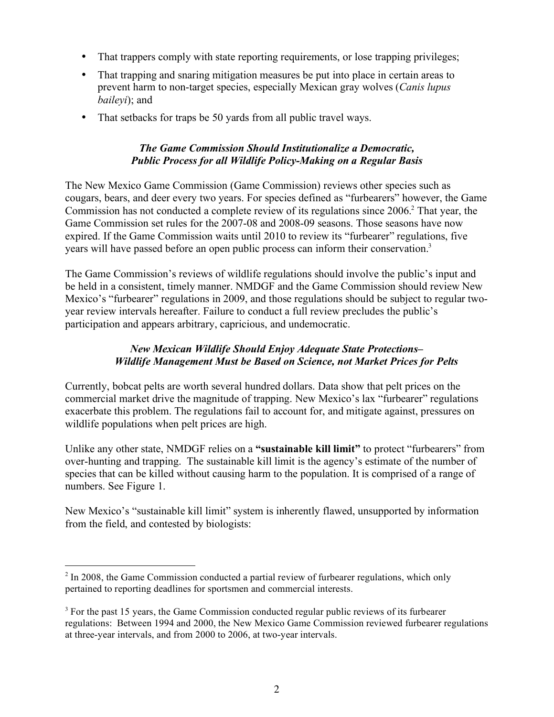- That trappers comply with state reporting requirements, or lose trapping privileges;
- That trapping and snaring mitigation measures be put into place in certain areas to prevent harm to non-target species, especially Mexican gray wolves (*Canis lupus baileyi*); and
- That setbacks for traps be 50 yards from all public travel ways.

# *The Game Commission Should Institutionalize a Democratic, Public Process for all Wildlife Policy-Making on a Regular Basis*

The New Mexico Game Commission (Game Commission) reviews other species such as cougars, bears, and deer every two years. For species defined as "furbearers" however, the Game Commission has not conducted a complete review of its regulations since 2006.<sup>2</sup> That year, the Game Commission set rules for the 2007-08 and 2008-09 seasons. Those seasons have now expired. If the Game Commission waits until 2010 to review its "furbearer" regulations, five years will have passed before an open public process can inform their conservation.<sup>3</sup>

The Game Commission's reviews of wildlife regulations should involve the public's input and be held in a consistent, timely manner. NMDGF and the Game Commission should review New Mexico's "furbearer" regulations in 2009, and those regulations should be subject to regular twoyear review intervals hereafter. Failure to conduct a full review precludes the public's participation and appears arbitrary, capricious, and undemocratic.

#### *New Mexican Wildlife Should Enjoy Adequate State Protections– Wildlife Management Must be Based on Science, not Market Prices for Pelts*

Currently, bobcat pelts are worth several hundred dollars. Data show that pelt prices on the commercial market drive the magnitude of trapping. New Mexico's lax "furbearer" regulations exacerbate this problem. The regulations fail to account for, and mitigate against, pressures on wildlife populations when pelt prices are high.

Unlike any other state, NMDGF relies on a **"sustainable kill limit"** to protect "furbearers" from over-hunting and trapping. The sustainable kill limit is the agency's estimate of the number of species that can be killed without causing harm to the population. It is comprised of a range of numbers. See Figure 1.

New Mexico's "sustainable kill limit" system is inherently flawed, unsupported by information from the field, and contested by biologists:

 $\frac{1}{2}$  $<sup>2</sup>$  In 2008, the Game Commission conducted a partial review of furbearer regulations, which only</sup> pertained to reporting deadlines for sportsmen and commercial interests.

 $3$  For the past 15 years, the Game Commission conducted regular public reviews of its furbearer regulations: Between 1994 and 2000, the New Mexico Game Commission reviewed furbearer regulations at three-year intervals, and from 2000 to 2006, at two-year intervals.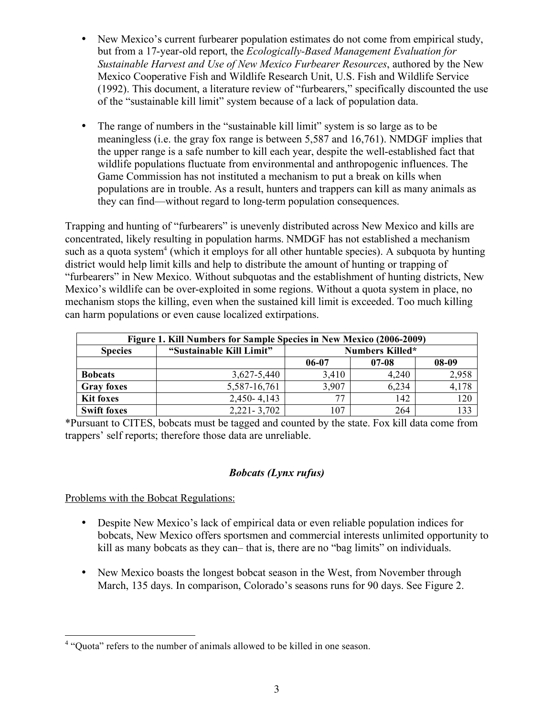- New Mexico's current furbearer population estimates do not come from empirical study, but from a 17-year-old report, the *Ecologically-Based Management Evaluation for Sustainable Harvest and Use of New Mexico Furbearer Resources*, authored by the New Mexico Cooperative Fish and Wildlife Research Unit, U.S. Fish and Wildlife Service (1992). This document, a literature review of "furbearers," specifically discounted the use of the "sustainable kill limit" system because of a lack of population data.
- The range of numbers in the "sustainable kill limit" system is so large as to be meaningless (i.e. the gray fox range is between 5,587 and 16,761). NMDGF implies that the upper range is a safe number to kill each year, despite the well-established fact that wildlife populations fluctuate from environmental and anthropogenic influences. The Game Commission has not instituted a mechanism to put a break on kills when populations are in trouble. As a result, hunters and trappers can kill as many animals as they can find—without regard to long-term population consequences.

Trapping and hunting of "furbearers" is unevenly distributed across New Mexico and kills are concentrated, likely resulting in population harms. NMDGF has not established a mechanism such as a quota system<sup>4</sup> (which it employs for all other huntable species). A subquota by hunting district would help limit kills and help to distribute the amount of hunting or trapping of "furbearers" in New Mexico. Without subquotas and the establishment of hunting districts, New Mexico's wildlife can be over-exploited in some regions. Without a quota system in place, no mechanism stops the killing, even when the sustained kill limit is exceeded. Too much killing can harm populations or even cause localized extirpations.

| Figure 1. Kill Numbers for Sample Species in New Mexico (2006-2009) |                          |                        |         |       |  |  |  |  |  |  |
|---------------------------------------------------------------------|--------------------------|------------------------|---------|-------|--|--|--|--|--|--|
| <b>Species</b>                                                      | "Sustainable Kill Limit" | <b>Numbers Killed*</b> |         |       |  |  |  |  |  |  |
|                                                                     |                          | 06-07                  | $07-08$ | 08-09 |  |  |  |  |  |  |
| <b>Bobcats</b>                                                      | 3,627-5,440              | 3,410                  | 4,240   | 2,958 |  |  |  |  |  |  |
| <b>Gray foxes</b>                                                   | 5,587-16,761             | 3,907                  | 6,234   | 4,178 |  |  |  |  |  |  |
| <b>Kit foxes</b>                                                    | 2,450-4,143              | 77                     | 142     | 120   |  |  |  |  |  |  |
| <b>Swift foxes</b>                                                  | $2,221 - 3,702$          | 107                    | 264     | 133   |  |  |  |  |  |  |

\*Pursuant to CITES, bobcats must be tagged and counted by the state. Fox kill data come from trappers' self reports; therefore those data are unreliable.

# *Bobcats (Lynx rufus)*

Problems with the Bobcat Regulations:

- Despite New Mexico's lack of empirical data or even reliable population indices for bobcats, New Mexico offers sportsmen and commercial interests unlimited opportunity to kill as many bobcats as they can– that is, there are no "bag limits" on individuals.
- New Mexico boasts the longest bobcat season in the West, from November through March, 135 days. In comparison, Colorado's seasons runs for 90 days. See Figure 2.

 $\frac{1}{4}$ <sup>4</sup> "Quota" refers to the number of animals allowed to be killed in one season.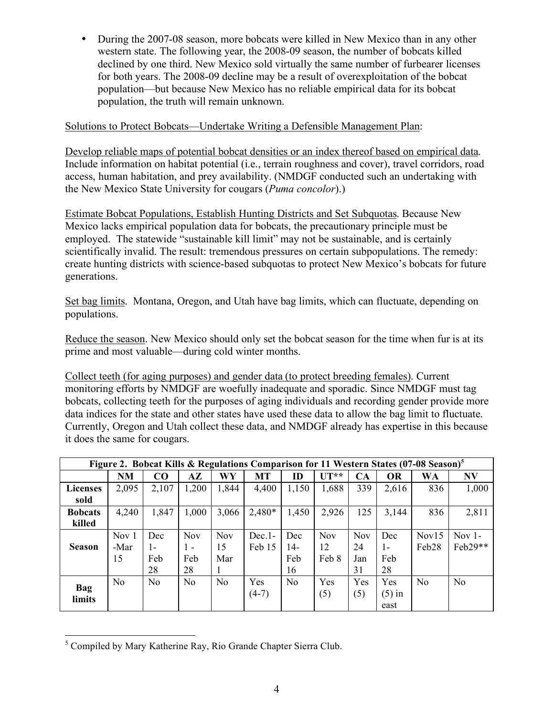• During the 2007-08 season, more bobcats were killed in New Mexico than in any other western state. The following year, the 2008-09 season, the number of bobcats killed declined by one third. New Mexico sold virtually the same number of furbearer licenses for both years. The 2008-09 decline may be a result of overexploitation of the bobcat population—but because New Mexico has no reliable empirical data for its bobcat population, the truth will remain unknown.

#### Solutions to Protect Bobcats—Undertake Writing a Defensible Management Plan:

Develop reliable maps of potential bobcat densities or an index thereof based on empirical data. Include information on habitat potential (i.e., terrain roughness and cover), travel corridors, road access, human habitation, and prey availability. (NMDGF conducted such an undertaking with the New Mexico State University for cougars (*Puma concolor*).)

Estimate Bobcat Populations, Establish Hunting Districts and Set Subquotas. Because New Mexico lacks empirical population data for bobcats, the precautionary principle must be employed. The statewide "sustainable kill limit" may not be sustainable, and is certainly scientifically invalid. The result: tremendous pressures on certain subpopulations. The remedy: create hunting districts with science-based subquotas to protect New Mexico's bobcats for future generations.

Set bag limits. Montana, Oregon, and Utah have bag limits, which can fluctuate, depending on populations.

Reduce the season. New Mexico should only set the bobcat season for the time when fur is at its prime and most valuable—during cold winter months.

Collect teeth (for aging purposes) and gender data (to protect breeding females). Current monitoring efforts by NMDGF are woefully inadequate and sporadic. Since NMDGF must tag bobcats, collecting teeth for the purposes of aging individuals and recording gender provide more data indices for the state and other states have used these data to allow the bag limit to fluctuate. Currently, Oregon and Utah collect these data, and NMDGF already has expertise in this because it does the same for cougars.

| Figure 2. Bobcat Kills & Regulations Comparison for 11 Western States (07-08 Season) <sup>5</sup> |           |                |                |                |           |                |            |            |           |                   |                |  |
|---------------------------------------------------------------------------------------------------|-----------|----------------|----------------|----------------|-----------|----------------|------------|------------|-----------|-------------------|----------------|--|
|                                                                                                   | <b>NM</b> | CO             | $A\mathbf{Z}$  | WY             | <b>MT</b> | ID             | $UT**$     | CA         | <b>OR</b> | WA                | N V            |  |
| <b>Licenses</b>                                                                                   | 2,095     | 2,107          | 1,200          | 1,844          | 4,400     | 1,150          | 1,688      | 339        | 2,616     | 836               | 1,000          |  |
| sold                                                                                              |           |                |                |                |           |                |            |            |           |                   |                |  |
| <b>Bobcats</b>                                                                                    | 4,240     | 1,847          | 1,000          | 3,066          | $2,480*$  | 1,450          | 2,926      | 125        | 3,144     | 836               | 2,811          |  |
| killed                                                                                            |           |                |                |                |           |                |            |            |           |                   |                |  |
|                                                                                                   | Nov 1     | Dec            | <b>Nov</b>     | <b>Nov</b>     | $Dec.1-$  | Dec            | <b>Nov</b> | <b>Nov</b> | Dec       | Nov <sub>15</sub> | Nov $1-$       |  |
| <b>Season</b>                                                                                     | -Mar      | 1-             | $1 -$          | 15             | Feb 15    | 14-            | 12         | 24         | $1 -$     | Feb <sub>28</sub> | Feb29**        |  |
|                                                                                                   | 15        | Feb            | Feb            | Mar            |           | Feb            | Feb 8      | Jan        | Feb       |                   |                |  |
|                                                                                                   |           | 28             | 28             | I.             |           | 16             |            | 31         | 28        |                   |                |  |
|                                                                                                   | No.       | N <sub>0</sub> | N <sub>0</sub> | N <sub>0</sub> | Yes       | N <sub>0</sub> | Yes        | Yes        | Yes       | N <sub>0</sub>    | N <sub>0</sub> |  |
| <b>Bag</b><br>limits                                                                              |           |                |                |                | $(4-7)$   |                | (5)        | (5)        | $(5)$ in  |                   |                |  |
|                                                                                                   |           |                |                |                |           |                |            |            | east      |                   |                |  |

5  $<sup>5</sup>$  Compiled by Mary Katherine Ray, Rio Grande Chapter Sierra Club.</sup>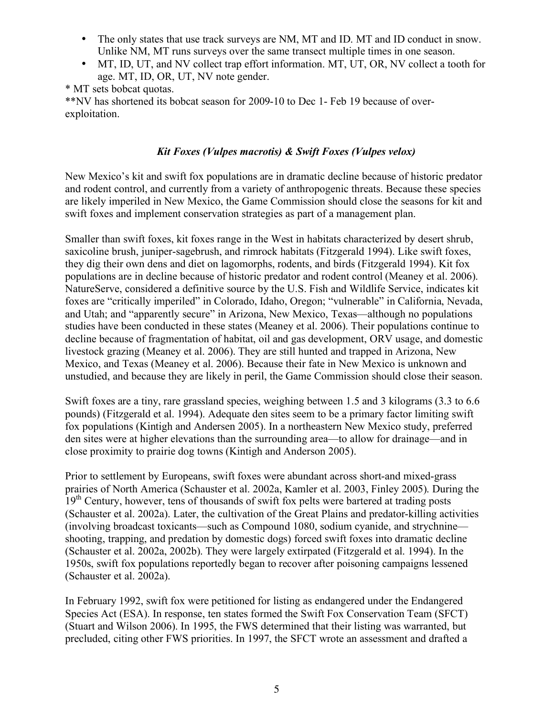- The only states that use track surveys are NM, MT and ID. MT and ID conduct in snow. Unlike NM, MT runs surveys over the same transect multiple times in one season.
- MT, ID, UT, and NV collect trap effort information. MT, UT, OR, NV collect a tooth for age. MT, ID, OR, UT, NV note gender.

\* MT sets bobcat quotas.

\*\*NV has shortened its bobcat season for 2009-10 to Dec 1- Feb 19 because of overexploitation.

# *Kit Foxes (Vulpes macrotis) & Swift Foxes (Vulpes velox)*

New Mexico's kit and swift fox populations are in dramatic decline because of historic predator and rodent control, and currently from a variety of anthropogenic threats. Because these species are likely imperiled in New Mexico, the Game Commission should close the seasons for kit and swift foxes and implement conservation strategies as part of a management plan.

Smaller than swift foxes, kit foxes range in the West in habitats characterized by desert shrub, saxicoline brush, juniper-sagebrush, and rimrock habitats (Fitzgerald 1994). Like swift foxes, they dig their own dens and diet on lagomorphs, rodents, and birds (Fitzgerald 1994). Kit fox populations are in decline because of historic predator and rodent control (Meaney et al. 2006). NatureServe, considered a definitive source by the U.S. Fish and Wildlife Service, indicates kit foxes are "critically imperiled" in Colorado, Idaho, Oregon; "vulnerable" in California, Nevada, and Utah; and "apparently secure" in Arizona, New Mexico, Texas—although no populations studies have been conducted in these states (Meaney et al. 2006). Their populations continue to decline because of fragmentation of habitat, oil and gas development, ORV usage, and domestic livestock grazing (Meaney et al. 2006). They are still hunted and trapped in Arizona, New Mexico, and Texas (Meaney et al. 2006). Because their fate in New Mexico is unknown and unstudied, and because they are likely in peril, the Game Commission should close their season.

Swift foxes are a tiny, rare grassland species, weighing between 1.5 and 3 kilograms (3.3 to 6.6 pounds) (Fitzgerald et al. 1994). Adequate den sites seem to be a primary factor limiting swift fox populations (Kintigh and Andersen 2005). In a northeastern New Mexico study, preferred den sites were at higher elevations than the surrounding area—to allow for drainage—and in close proximity to prairie dog towns (Kintigh and Anderson 2005).

Prior to settlement by Europeans, swift foxes were abundant across short-and mixed-grass prairies of North America (Schauster et al. 2002a, Kamler et al. 2003, Finley 2005). During the 19<sup>th</sup> Century, however, tens of thousands of swift fox pelts were bartered at trading posts (Schauster et al. 2002a). Later, the cultivation of the Great Plains and predator-killing activities (involving broadcast toxicants—such as Compound 1080, sodium cyanide, and strychnine shooting, trapping, and predation by domestic dogs) forced swift foxes into dramatic decline (Schauster et al. 2002a, 2002b). They were largely extirpated (Fitzgerald et al. 1994). In the 1950s, swift fox populations reportedly began to recover after poisoning campaigns lessened (Schauster et al. 2002a).

In February 1992, swift fox were petitioned for listing as endangered under the Endangered Species Act (ESA). In response, ten states formed the Swift Fox Conservation Team (SFCT) (Stuart and Wilson 2006). In 1995, the FWS determined that their listing was warranted, but precluded, citing other FWS priorities. In 1997, the SFCT wrote an assessment and drafted a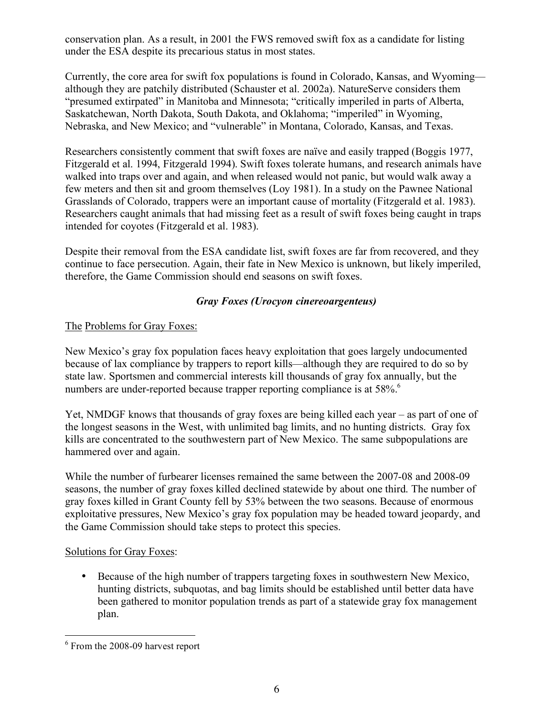conservation plan. As a result, in 2001 the FWS removed swift fox as a candidate for listing under the ESA despite its precarious status in most states.

Currently, the core area for swift fox populations is found in Colorado, Kansas, and Wyoming although they are patchily distributed (Schauster et al. 2002a). NatureServe considers them "presumed extirpated" in Manitoba and Minnesota; "critically imperiled in parts of Alberta, Saskatchewan, North Dakota, South Dakota, and Oklahoma; "imperiled" in Wyoming, Nebraska, and New Mexico; and "vulnerable" in Montana, Colorado, Kansas, and Texas.

Researchers consistently comment that swift foxes are naïve and easily trapped (Boggis 1977, Fitzgerald et al. 1994, Fitzgerald 1994). Swift foxes tolerate humans, and research animals have walked into traps over and again, and when released would not panic, but would walk away a few meters and then sit and groom themselves (Loy 1981). In a study on the Pawnee National Grasslands of Colorado, trappers were an important cause of mortality (Fitzgerald et al. 1983). Researchers caught animals that had missing feet as a result of swift foxes being caught in traps intended for coyotes (Fitzgerald et al. 1983).

Despite their removal from the ESA candidate list, swift foxes are far from recovered, and they continue to face persecution. Again, their fate in New Mexico is unknown, but likely imperiled, therefore, the Game Commission should end seasons on swift foxes.

## *Gray Foxes (Urocyon cinereoargenteus)*

## The Problems for Gray Foxes:

New Mexico's gray fox population faces heavy exploitation that goes largely undocumented because of lax compliance by trappers to report kills—although they are required to do so by state law. Sportsmen and commercial interests kill thousands of gray fox annually, but the numbers are under-reported because trapper reporting compliance is at 58%.<sup>6</sup>

Yet, NMDGF knows that thousands of gray foxes are being killed each year – as part of one of the longest seasons in the West, with unlimited bag limits, and no hunting districts. Gray fox kills are concentrated to the southwestern part of New Mexico. The same subpopulations are hammered over and again.

While the number of furbearer licenses remained the same between the 2007-08 and 2008-09 seasons, the number of gray foxes killed declined statewide by about one third. The number of gray foxes killed in Grant County fell by 53% between the two seasons. Because of enormous exploitative pressures, New Mexico's gray fox population may be headed toward jeopardy, and the Game Commission should take steps to protect this species.

## Solutions for Gray Foxes:

• Because of the high number of trappers targeting foxes in southwestern New Mexico, hunting districts, subquotas, and bag limits should be established until better data have been gathered to monitor population trends as part of a statewide gray fox management plan.

6  $6$  From the 2008-09 harvest report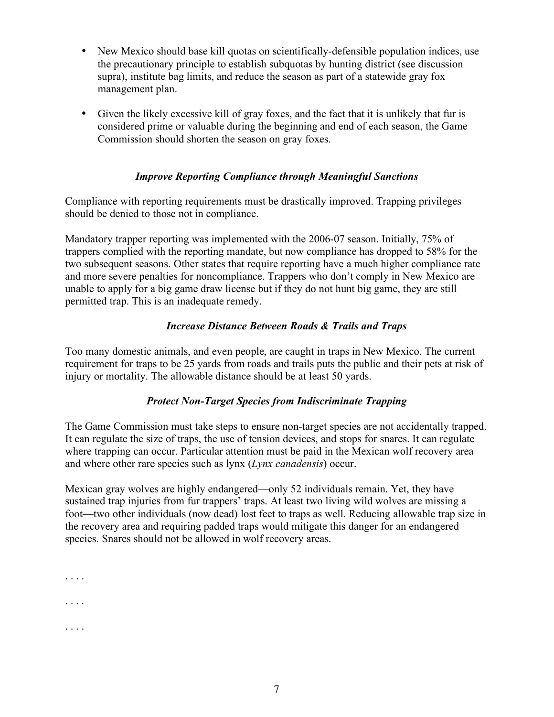- New Mexico should base kill quotas on scientifically-defensible population indices, use the precautionary principle to establish subquotas by hunting district (see discussion supra), institute bag limits, and reduce the season as part of a statewide gray fox management plan.
- Given the likely excessive kill of gray foxes, and the fact that it is unlikely that fur is considered prime or valuable during the beginning and end of each season, the Game Commission should shorten the season on gray foxes.

## *Improve Reporting Compliance through Meaningful Sanctions*

Compliance with reporting requirements must be drastically improved. Trapping privileges should be denied to those not in compliance.

Mandatory trapper reporting was implemented with the 2006-07 season. Initially, 75% of trappers complied with the reporting mandate, but now compliance has dropped to 58% for the two subsequent seasons. Other states that require reporting have a much higher compliance rate and more severe penalties for noncompliance. Trappers who don't comply in New Mexico are unable to apply for a big game draw license but if they do not hunt big game, they are still permitted trap. This is an inadequate remedy.

## *Increase Distance Between Roads & Trails and Traps*

Too many domestic animals, and even people, are caught in traps in New Mexico. The current requirement for traps to be 25 yards from roads and trails puts the public and their pets at risk of injury or mortality. The allowable distance should be at least 50 yards.

# *Protect Non-Target Species from Indiscriminate Trapping*

The Game Commission must take steps to ensure non-target species are not accidentally trapped. It can regulate the size of traps, the use of tension devices, and stops for snares. It can regulate where trapping can occur. Particular attention must be paid in the Mexican wolf recovery area and where other rare species such as lynx (*Lynx canadensis*) occur.

Mexican gray wolves are highly endangered—only 52 individuals remain. Yet, they have sustained trap injuries from fur trappers' traps. At least two living wild wolves are missing a foot—two other individuals (now dead) lost feet to traps as well. Reducing allowable trap size in the recovery area and requiring padded traps would mitigate this danger for an endangered species. Snares should not be allowed in wolf recovery areas.

. . . . . . . .

. . . .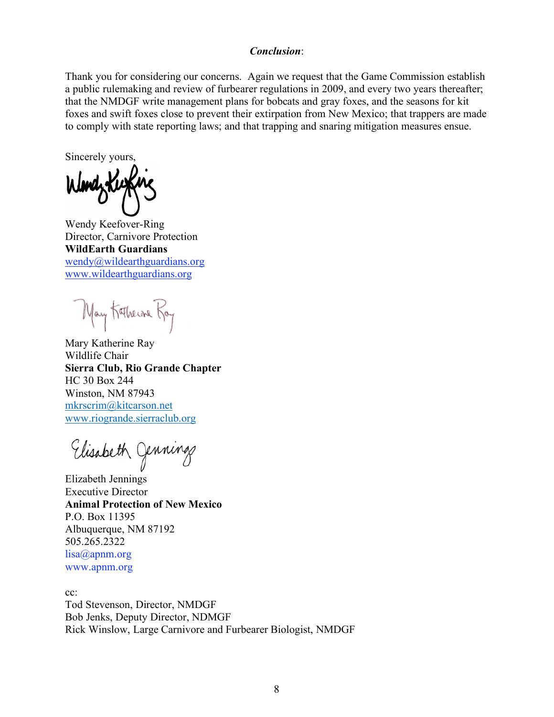#### *Conclusion*:

Thank you for considering our concerns. Again we request that the Game Commission establish a public rulemaking and review of furbearer regulations in 2009, and every two years thereafter; that the NMDGF write management plans for bobcats and gray foxes, and the seasons for kit foxes and swift foxes close to prevent their extirpation from New Mexico; that trappers are made to comply with state reporting laws; and that trapping and snaring mitigation measures ensue.

Sincerely yours,

Wendy Keefover-Ring Director, Carnivore Protection **WildEarth Guardians** wendy@wildearthguardians.org www.wildearthguardians.org

May Kathers Ray

Mary Katherine Ray Wildlife Chair **Sierra Club, Rio Grande Chapter** HC 30 Box 244 Winston, NM 87943 mkrscrim@kitcarson.net www.riogrande.sierraclub.org

Elisabeth Jenning

Elizabeth Jennings Executive Director **Animal Protection of New Mexico** P.O. Box 11395 Albuquerque, NM 87192 505.265.2322 lisa@apnm.org www.apnm.org

cc:

Tod Stevenson, Director, NMDGF Bob Jenks, Deputy Director, NDMGF Rick Winslow, Large Carnivore and Furbearer Biologist, NMDGF